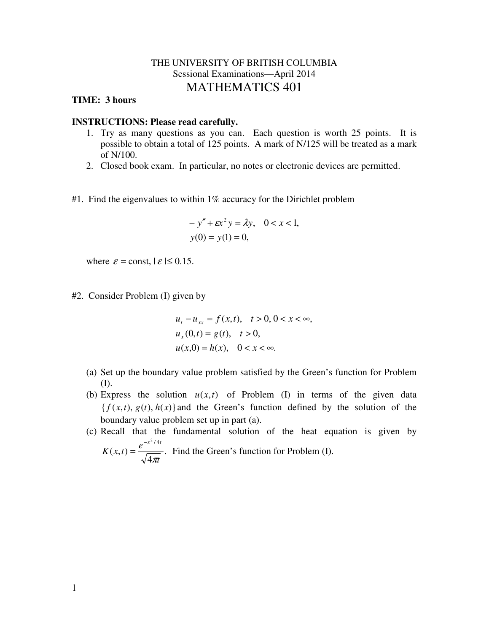## THE UNIVERSITY OF BRITISH COLUMBIA Sessional Examinations—April 2014 MATHEMATICS 401

## **TIME: 3 hours**

## **INSTRUCTIONS: Please read carefully.**

- 1. Try as many questions as you can. Each question is worth 25 points. It is possible to obtain a total of 125 points. A mark of N/125 will be treated as a mark of N/100.
- 2. Closed book exam. In particular, no notes or electronic devices are permitted.
- #1. Find the eigenvalues to within 1% accuracy for the Dirichlet problem

$$
-y'' + \varepsilon x^2 y = \lambda y, \quad 0 < x < 1, \\
y(0) = y(1) = 0,
$$

where  $\varepsilon$  = const,  $|\varepsilon| \le 0.15$ .

#2. Consider Problem (I) given by

π

$$
ut - uxx = f(x,t), \quad t > 0, 0 < x < \infty,
$$
  
\n
$$
ux(0,t) = g(t), \quad t > 0,
$$
  
\n
$$
u(x,0) = h(x), \quad 0 < x < \infty.
$$

- (a) Set up the boundary value problem satisfied by the Green's function for Problem (I).
- (b) Express the solution  $u(x,t)$  of Problem (I) in terms of the given data  ${f(x,t), g(t), h(x)}$  and the Green's function defined by the solution of the boundary value problem set up in part (a).
- (c) Recall that the fundamental solution of the heat equation is given by . 4  $(x, t)$  $^{2}/4$ *t*  $K(x,t) = \frac{e}{t}$ *x t* −  $=\frac{c}{\sqrt{c}}$ . Find the Green's function for Problem (I).